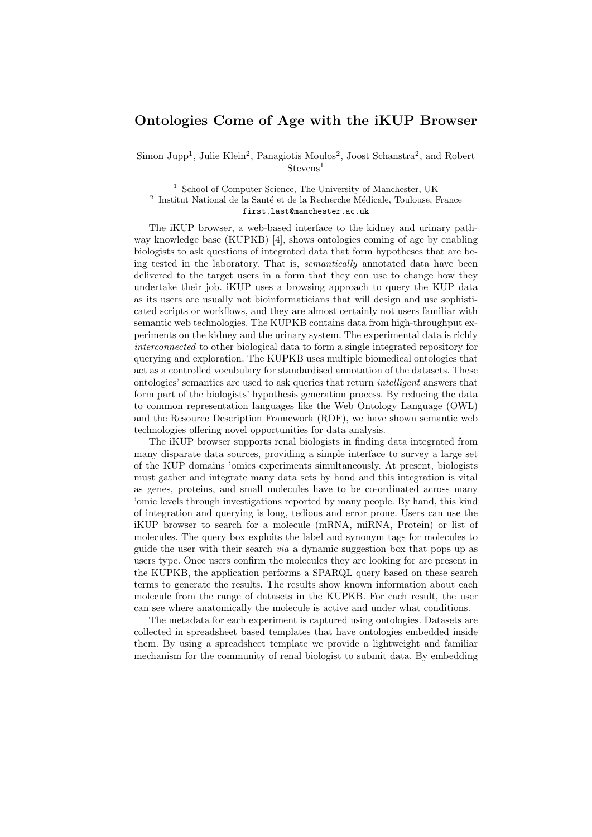## Ontologies Come of Age with the iKUP Browser

Simon Jupp<sup>1</sup>, Julie Klein<sup>2</sup>, Panagiotis Moulos<sup>2</sup>, Joost Schanstra<sup>2</sup>, and Robert Stevens<sup>1</sup>

 $^{\rm 1}$  School of Computer Science, The University of Manchester, UK  $^2$  Institut National de la Santé et de la Recherche Médicale, Toulouse, France first.last@manchester.ac.uk

The iKUP browser, a web-based interface to the kidney and urinary pathway knowledge base (KUPKB) [4], shows ontologies coming of age by enabling biologists to ask questions of integrated data that form hypotheses that are being tested in the laboratory. That is, *semantically* annotated data have been delivered to the target users in a form that they can use to change how they undertake their job. iKUP uses a browsing approach to query the KUP data as its users are usually not bioinformaticians that will design and use sophisticated scripts or workflows, and they are almost certainly not users familiar with semantic web technologies. The KUPKB contains data from high-throughput experiments on the kidney and the urinary system. The experimental data is richly interconnected to other biological data to form a single integrated repository for querying and exploration. The KUPKB uses multiple biomedical ontologies that act as a controlled vocabulary for standardised annotation of the datasets. These ontologies' semantics are used to ask queries that return intelligent answers that form part of the biologists' hypothesis generation process. By reducing the data to common representation languages like the Web Ontology Language (OWL) and the Resource Description Framework (RDF), we have shown semantic web technologies offering novel opportunities for data analysis.

The iKUP browser supports renal biologists in finding data integrated from many disparate data sources, providing a simple interface to survey a large set of the KUP domains 'omics experiments simultaneously. At present, biologists must gather and integrate many data sets by hand and this integration is vital as genes, proteins, and small molecules have to be co-ordinated across many 'omic levels through investigations reported by many people. By hand, this kind of integration and querying is long, tedious and error prone. Users can use the iKUP browser to search for a molecule (mRNA, miRNA, Protein) or list of molecules. The query box exploits the label and synonym tags for molecules to guide the user with their search via a dynamic suggestion box that pops up as users type. Once users confirm the molecules they are looking for are present in the KUPKB, the application performs a SPARQL query based on these search terms to generate the results. The results show known information about each molecule from the range of datasets in the KUPKB. For each result, the user can see where anatomically the molecule is active and under what conditions.

The metadata for each experiment is captured using ontologies. Datasets are collected in spreadsheet based templates that have ontologies embedded inside them. By using a spreadsheet template we provide a lightweight and familiar mechanism for the community of renal biologist to submit data. By embedding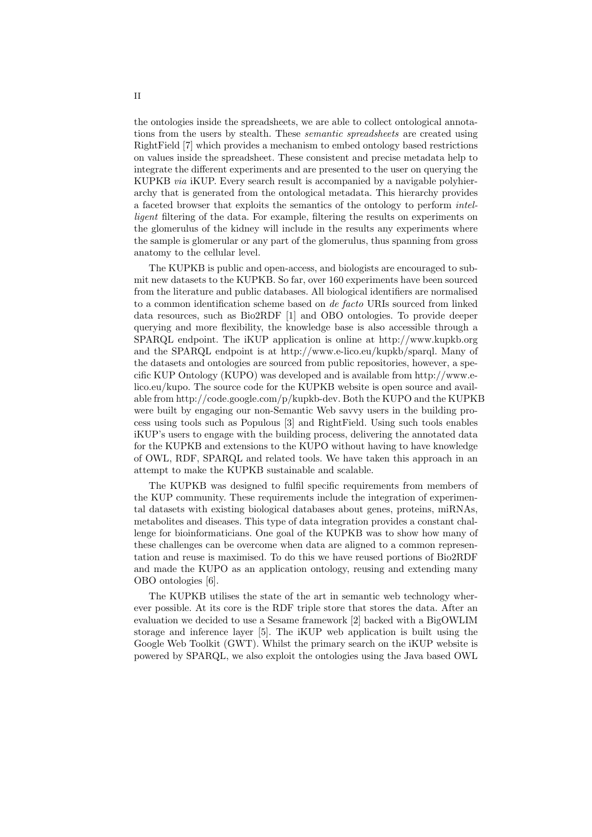the ontologies inside the spreadsheets, we are able to collect ontological annotations from the users by stealth. These semantic spreadsheets are created using RightField [7] which provides a mechanism to embed ontology based restrictions on values inside the spreadsheet. These consistent and precise metadata help to integrate the different experiments and are presented to the user on querying the KUPKB via iKUP. Every search result is accompanied by a navigable polyhierarchy that is generated from the ontological metadata. This hierarchy provides a faceted browser that exploits the semantics of the ontology to perform intelligent filtering of the data. For example, filtering the results on experiments on the glomerulus of the kidney will include in the results any experiments where the sample is glomerular or any part of the glomerulus, thus spanning from gross anatomy to the cellular level.

The KUPKB is public and open-access, and biologists are encouraged to submit new datasets to the KUPKB. So far, over 160 experiments have been sourced from the literature and public databases. All biological identifiers are normalised to a common identification scheme based on de facto URIs sourced from linked data resources, such as Bio2RDF [1] and OBO ontologies. To provide deeper querying and more flexibility, the knowledge base is also accessible through a SPARQL endpoint. The iKUP application is online at http://www.kupkb.org and the SPARQL endpoint is at http://www.e-lico.eu/kupkb/sparql. Many of the datasets and ontologies are sourced from public repositories, however, a specific KUP Ontology (KUPO) was developed and is available from http://www.elico.eu/kupo. The source code for the KUPKB website is open source and available from http://code.google.com/p/kupkb-dev. Both the KUPO and the KUPKB were built by engaging our non-Semantic Web savvy users in the building process using tools such as Populous [3] and RightField. Using such tools enables iKUP's users to engage with the building process, delivering the annotated data for the KUPKB and extensions to the KUPO without having to have knowledge of OWL, RDF, SPARQL and related tools. We have taken this approach in an attempt to make the KUPKB sustainable and scalable.

The KUPKB was designed to fulfil specific requirements from members of the KUP community. These requirements include the integration of experimental datasets with existing biological databases about genes, proteins, miRNAs, metabolites and diseases. This type of data integration provides a constant challenge for bioinformaticians. One goal of the KUPKB was to show how many of these challenges can be overcome when data are aligned to a common representation and reuse is maximised. To do this we have reused portions of Bio2RDF and made the KUPO as an application ontology, reusing and extending many OBO ontologies [6].

The KUPKB utilises the state of the art in semantic web technology wherever possible. At its core is the RDF triple store that stores the data. After an evaluation we decided to use a Sesame framework [2] backed with a BigOWLIM storage and inference layer [5]. The iKUP web application is built using the Google Web Toolkit (GWT). Whilst the primary search on the iKUP website is powered by SPARQL, we also exploit the ontologies using the Java based OWL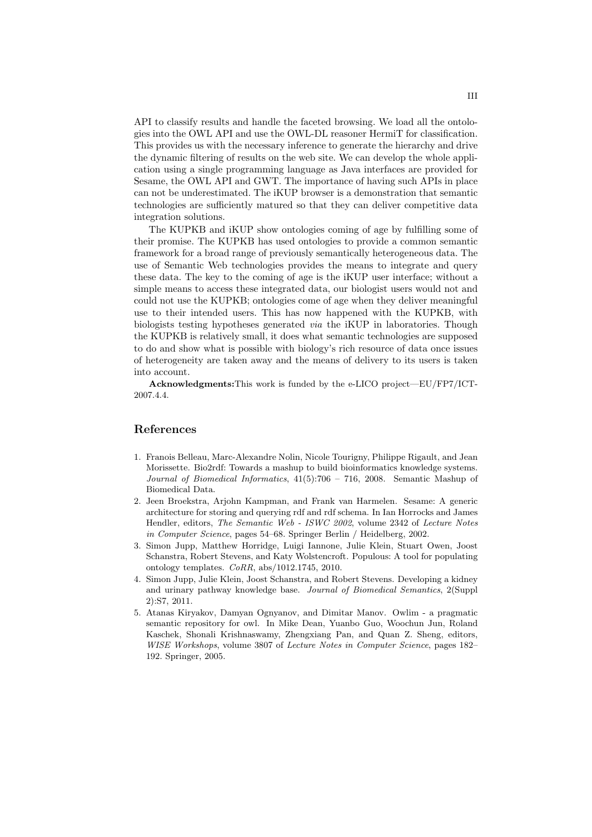API to classify results and handle the faceted browsing. We load all the ontologies into the OWL API and use the OWL-DL reasoner HermiT for classification. This provides us with the necessary inference to generate the hierarchy and drive the dynamic filtering of results on the web site. We can develop the whole application using a single programming language as Java interfaces are provided for Sesame, the OWL API and GWT. The importance of having such APIs in place can not be underestimated. The iKUP browser is a demonstration that semantic technologies are sufficiently matured so that they can deliver competitive data integration solutions.

The KUPKB and iKUP show ontologies coming of age by fulfilling some of their promise. The KUPKB has used ontologies to provide a common semantic framework for a broad range of previously semantically heterogeneous data. The use of Semantic Web technologies provides the means to integrate and query these data. The key to the coming of age is the iKUP user interface; without a simple means to access these integrated data, our biologist users would not and could not use the KUPKB; ontologies come of age when they deliver meaningful use to their intended users. This has now happened with the KUPKB, with biologists testing hypotheses generated via the iKUP in laboratories. Though the KUPKB is relatively small, it does what semantic technologies are supposed to do and show what is possible with biology's rich resource of data once issues of heterogeneity are taken away and the means of delivery to its users is taken into account.

Acknowledgments:This work is funded by the e-LICO project—EU/FP7/ICT-2007.4.4.

## References

- 1. Franois Belleau, Marc-Alexandre Nolin, Nicole Tourigny, Philippe Rigault, and Jean Morissette. Bio2rdf: Towards a mashup to build bioinformatics knowledge systems. Journal of Biomedical Informatics, 41(5):706 – 716, 2008. Semantic Mashup of Biomedical Data.
- 2. Jeen Broekstra, Arjohn Kampman, and Frank van Harmelen. Sesame: A generic architecture for storing and querying rdf and rdf schema. In Ian Horrocks and James Hendler, editors, The Semantic Web - ISWC 2002, volume 2342 of Lecture Notes in Computer Science, pages 54–68. Springer Berlin / Heidelberg, 2002.
- 3. Simon Jupp, Matthew Horridge, Luigi Iannone, Julie Klein, Stuart Owen, Joost Schanstra, Robert Stevens, and Katy Wolstencroft. Populous: A tool for populating ontology templates. CoRR, abs/1012.1745, 2010.
- 4. Simon Jupp, Julie Klein, Joost Schanstra, and Robert Stevens. Developing a kidney and urinary pathway knowledge base. Journal of Biomedical Semantics, 2(Suppl 2):S7, 2011.
- 5. Atanas Kiryakov, Damyan Ognyanov, and Dimitar Manov. Owlim a pragmatic semantic repository for owl. In Mike Dean, Yuanbo Guo, Woochun Jun, Roland Kaschek, Shonali Krishnaswamy, Zhengxiang Pan, and Quan Z. Sheng, editors, WISE Workshops, volume 3807 of Lecture Notes in Computer Science, pages 182– 192. Springer, 2005.